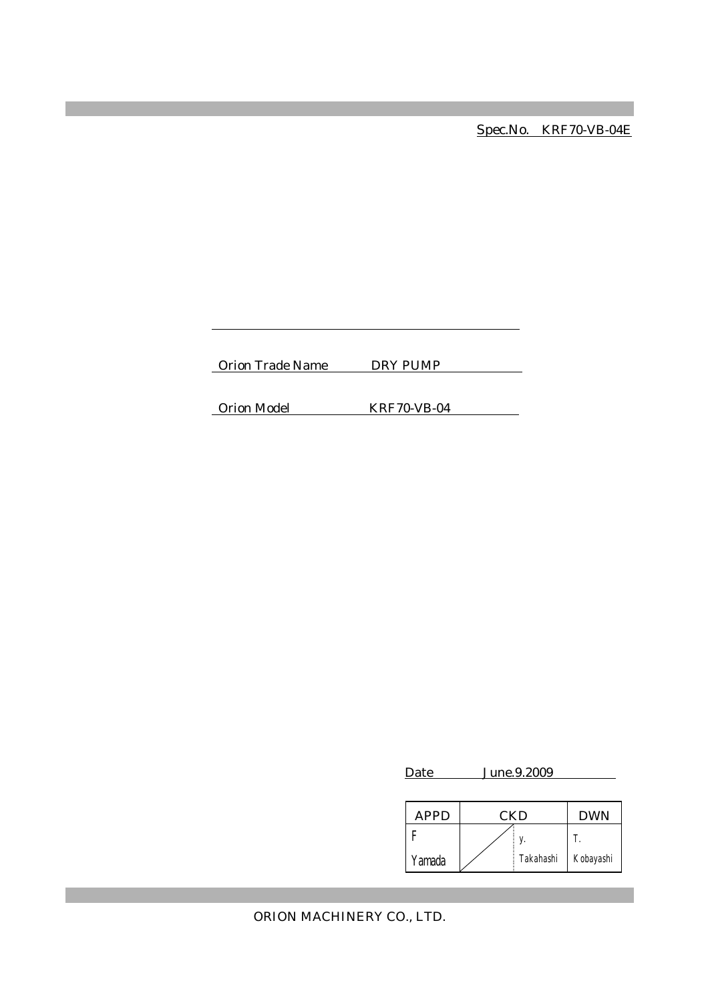Spec.No. KRF70-VB-04E

Orion Trade Name DRY PUMP

Orion Model KRF70-VB-04

| Date        | June.9.2009. |           |            |  |
|-------------|--------------|-----------|------------|--|
| <b>APPD</b> |              | CKD       | <b>DWN</b> |  |
|             |              |           | T.         |  |
| Yamada      |              | Takahashi | Kobayashi  |  |

ORION MACHINERY CO., LTD.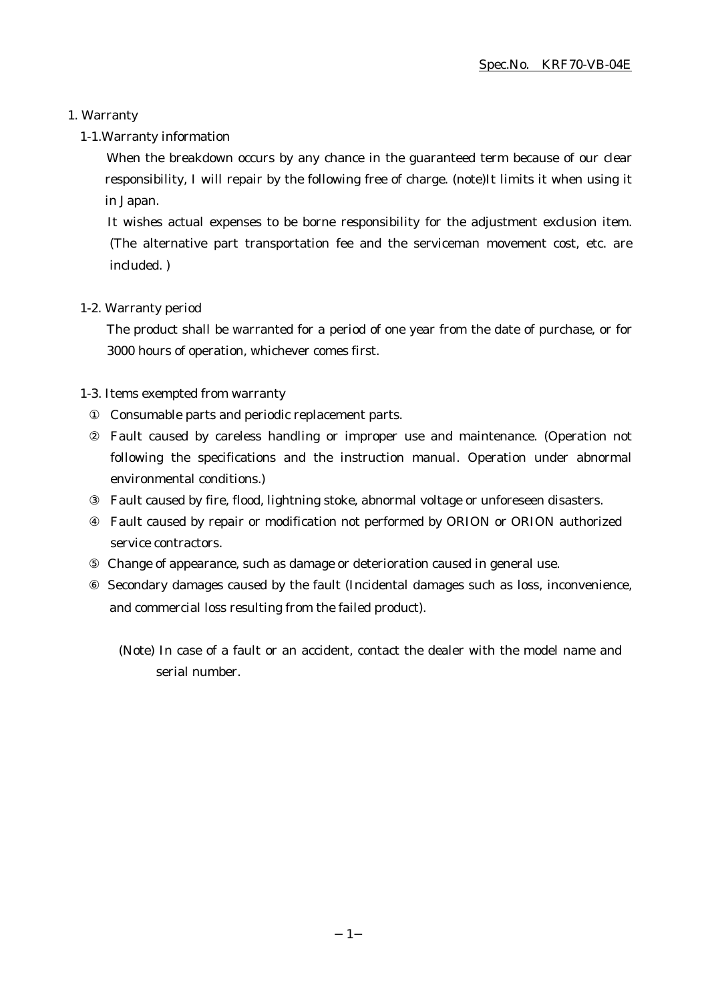# 1. Warranty

# 1-1.Warranty information

When the breakdown occurs by any chance in the guaranteed term because of our clear responsibility, I will repair by the following free of charge. (note)It limits it when using it in Japan.

It wishes actual expenses to be borne responsibility for the adjustment exclusion item. (The alternative part transportation fee and the serviceman movement cost, etc. are included. )

### 1-2. Warranty period

The product shall be warranted for a period of one year from the date of purchase, or for 3000 hours of operation, whichever comes first.

# 1-3. Items exempted from warranty

Consumable parts and periodic replacement parts.

Fault caused by careless handling or improper use and maintenance. (Operation not following the specifications and the instruction manual. Operation under abnormal environmental conditions.)

Fault caused by fire, flood, lightning stoke, abnormal voltage or unforeseen disasters.

Fault caused by repair or modification not performed by ORION or ORION authorized service contractors.

Change of appearance, such as damage or deterioration caused in general use.

 Secondary damages caused by the fault (Incidental damages such as loss, inconvenience, and commercial loss resulting from the failed product).

(Note) In case of a fault or an accident, contact the dealer with the model name and serial number.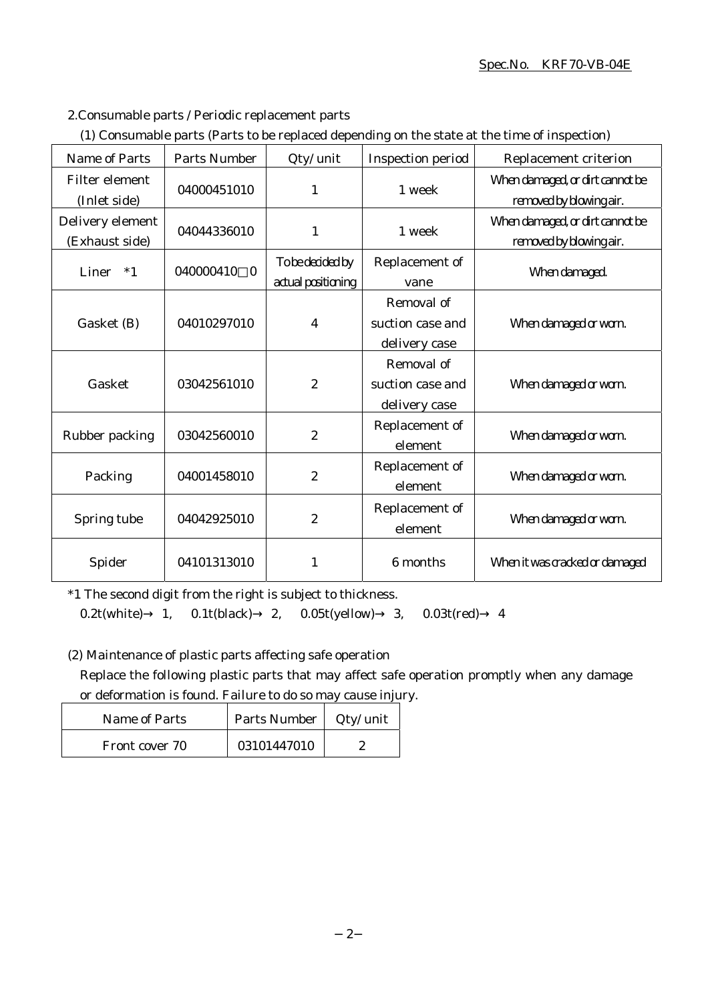### Spec.No. KRF70-VB-04E

2.Consumable parts / Periodic replacement parts

|  |  | (1) Consumable parts (Parts to be replaced depending on the state at the time of inspection) |
|--|--|----------------------------------------------------------------------------------------------|
|  |  |                                                                                              |

| <b>Name of Parts</b>               | <b>Parts Number</b>   | Qty/ unit                              | <b>Inspection period</b>                        | Replacement criterion                                      |
|------------------------------------|-----------------------|----------------------------------------|-------------------------------------------------|------------------------------------------------------------|
| Filter element<br>(Inlet side)     | 04000451010           | 1                                      | 1 week                                          | When damaged, or dirt cannot be<br>removed by blowing air. |
| Delivery element<br>(Exhaust side) | 04044336010           | $\mathbf{1}$                           | 1 week                                          | When damaged, or dirt cannot be<br>removed by blowing air. |
| Liner<br>$*1$                      | 040000410<br>$\Omega$ | To be decided by<br>actual positioning | Replacement of<br>vane                          | When damaged.                                              |
| Gasket (B)                         | 04010297010           | $\overline{4}$                         | Removal of<br>suction case and<br>delivery case | When damaged or worn.                                      |
| Gasket                             | 03042561010           | $\overline{2}$                         | Removal of<br>suction case and<br>delivery case | When damaged or worn.                                      |
| Rubber packing                     | 03042560010           | $\boldsymbol{2}$                       | Replacement of<br>element                       | When damaged or worn.                                      |
| Packing                            | 04001458010           | $\boldsymbol{2}$                       | Replacement of<br>element                       | When damaged or worn.                                      |
| Spring tube                        | 04042925010           | $\overline{2}$                         | Replacement of<br>element                       | When damaged or worn.                                      |
| Spider                             | 04101313010           | 1                                      | 6 months                                        | When it was cracked or damaged                             |

\*1 The second digit from the right is subject to thickness.

0.2t(white) 1, 0.1t(black) 2, 0.05t(yellow) 3, 0.03t(red) 4

(2) Maintenance of plastic parts affecting safe operation

Replace the following plastic parts that may affect safe operation promptly when any damage or deformation is found. Failure to do so may cause injury.

| Name of Parts  | Parts Number | Qty/ unit |
|----------------|--------------|-----------|
| Front cover 70 | 03101447010  |           |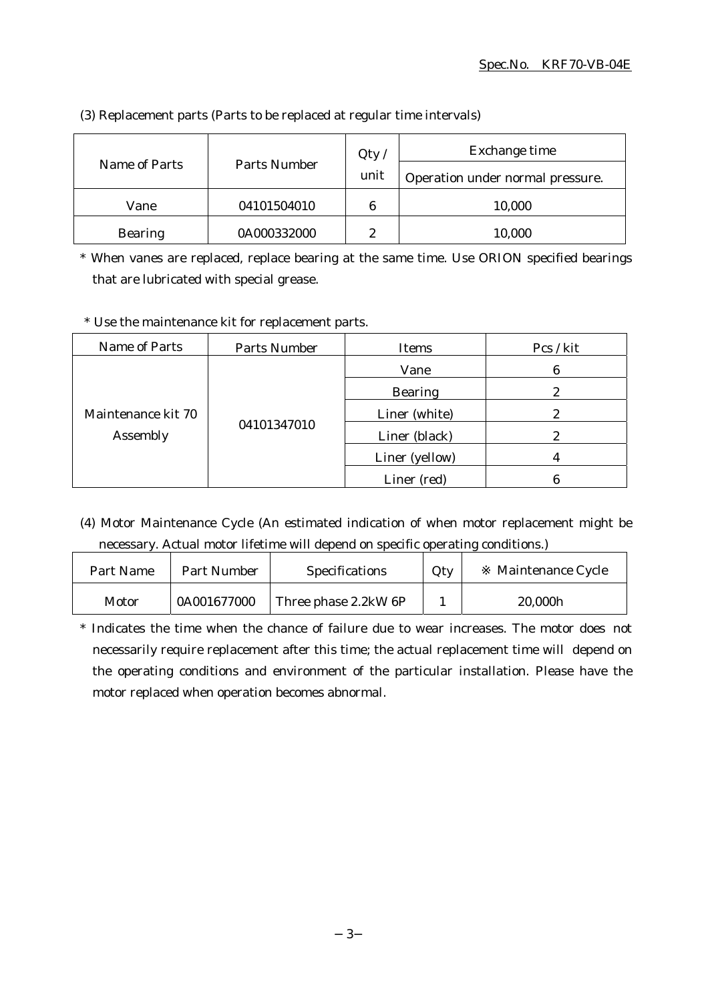| Parts Number<br>Name of Parts |             | Qty  | Exchange time                    |  |
|-------------------------------|-------------|------|----------------------------------|--|
|                               |             | unit | Operation under normal pressure. |  |
| Vane                          | 04101504010 | 6    | 10,000                           |  |
| <b>Bearing</b>                | 0A000332000 | 9    | 10,000                           |  |

(3) Replacement parts (Parts to be replaced at regular time intervals)

\* When vanes are replaced, replace bearing at the same time. Use ORION specified bearings that are lubricated with special grease.

\* Use the maintenance kit for replacement parts.

| Name of Parts                  | Parts Number | Items          | Pcs / kit |
|--------------------------------|--------------|----------------|-----------|
| Maintenance kit 70<br>Assembly | 04101347010  | Vane           | 6         |
|                                |              | <b>Bearing</b> |           |
|                                |              | Liner (white)  |           |
|                                |              | Liner (black)  | 2         |
|                                |              | Liner (yellow) |           |
|                                |              | Liner (red)    |           |

(4) Motor Maintenance Cycle (An estimated indication of when motor replacement might be necessary. Actual motor lifetime will depend on specific operating conditions.)

| Part Name | Part Number | <b>Specifications</b> | Qty | Maintenance Cycle |
|-----------|-------------|-----------------------|-----|-------------------|
| Motor     | 0A001677000 | Three phase 2.2kW 6P  |     | 20,000h           |

\* Indicates the time when the chance of failure due to wear increases. The motor does not necessarily require replacement after this time; the actual replacement time will depend on the operating conditions and environment of the particular installation. Please have the motor replaced when operation becomes abnormal.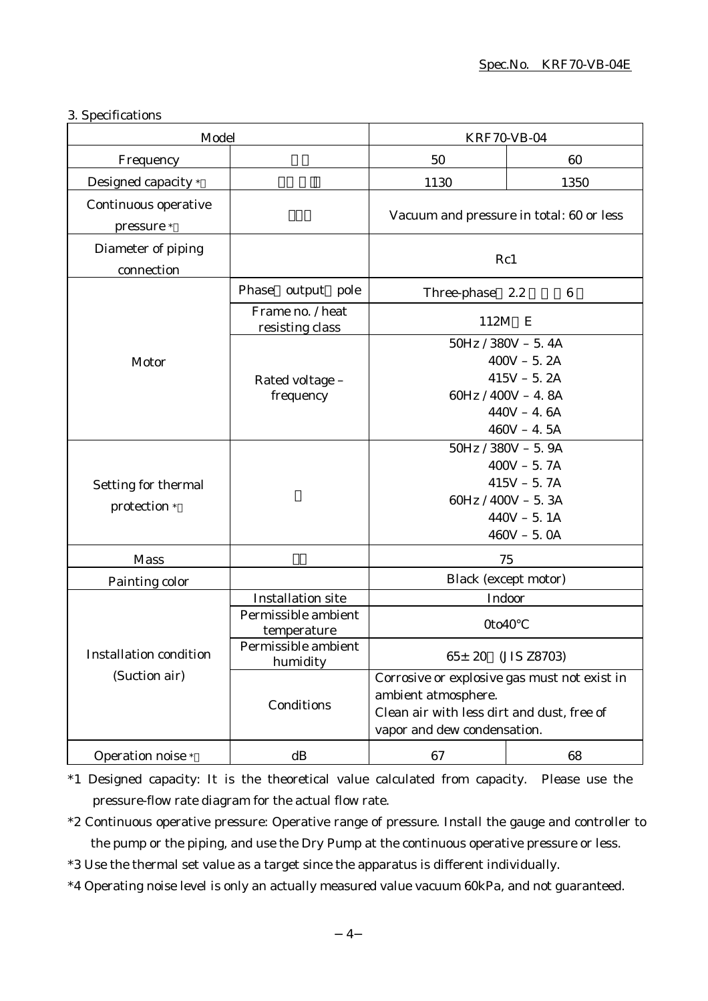### 3. Specifications

| Model                               |                                                                                       | <b>KRF70-VB-04</b>                                                                                                                               |                 |  |
|-------------------------------------|---------------------------------------------------------------------------------------|--------------------------------------------------------------------------------------------------------------------------------------------------|-----------------|--|
| Frequency                           |                                                                                       | 50                                                                                                                                               | 60              |  |
| Designed capacity *                 |                                                                                       | 1130                                                                                                                                             | 1350            |  |
| Continuous operative<br>pressure *  |                                                                                       | Vacuum and pressure in total: 60 or less                                                                                                         |                 |  |
| Diameter of piping<br>connection    |                                                                                       | Rc1                                                                                                                                              |                 |  |
|                                     | Phase output pole                                                                     | Three-phase 2.2                                                                                                                                  | $6\phantom{.}6$ |  |
|                                     | Frame no. / heat<br>resisting class                                                   | 112M<br>E                                                                                                                                        |                 |  |
| Motor                               | Rated voltage -<br>frequency                                                          | $50Hz / 380V - 5.4A$<br>$400V - 5.2A$<br>$415V - 5.2A$<br>$60Hz / 400V - 4.8A$<br>$440V - 4.6A$<br>$460V - 4.5A$                                 |                 |  |
| Setting for thermal<br>protection * |                                                                                       | $50Hz / 380V - 5.9A$<br>$400V - 5.7A$<br>$415V - 5.7A$<br>60Hz / $400V - 5.3A$<br>$440V - 5.1A$<br>$460V - 5.0A$                                 |                 |  |
| <b>Mass</b>                         |                                                                                       | 75                                                                                                                                               |                 |  |
| Painting color                      |                                                                                       | Black (except motor)                                                                                                                             |                 |  |
|                                     | <b>Installation site</b><br>Permissible ambient<br>temperature<br>Permissible ambient | Indoor<br>0to40                                                                                                                                  |                 |  |
| <b>Installation condition</b>       | humidity                                                                              | 65± 20 (JIS Z8703)                                                                                                                               |                 |  |
| (Suction air)                       | Conditions                                                                            | Corrosive or explosive gas must not exist in<br>ambient atmosphere.<br>Clean air with less dirt and dust, free of<br>vapor and dew condensation. |                 |  |
| Operation noise *                   | dB                                                                                    | 67                                                                                                                                               | 68              |  |

\*1 Designed capacity: It is the theoretical value calculated from capacity. Please use the pressure-flow rate diagram for the actual flow rate.

\*2 Continuous operative pressure: Operative range of pressure. Install the gauge and controller to the pump or the piping, and use the Dry Pump at the continuous operative pressure or less.

\*3 Use the thermal set value as a target since the apparatus is different individually.

\*4 Operating noise level is only an actually measured value vacuum 60kPa, and not guaranteed.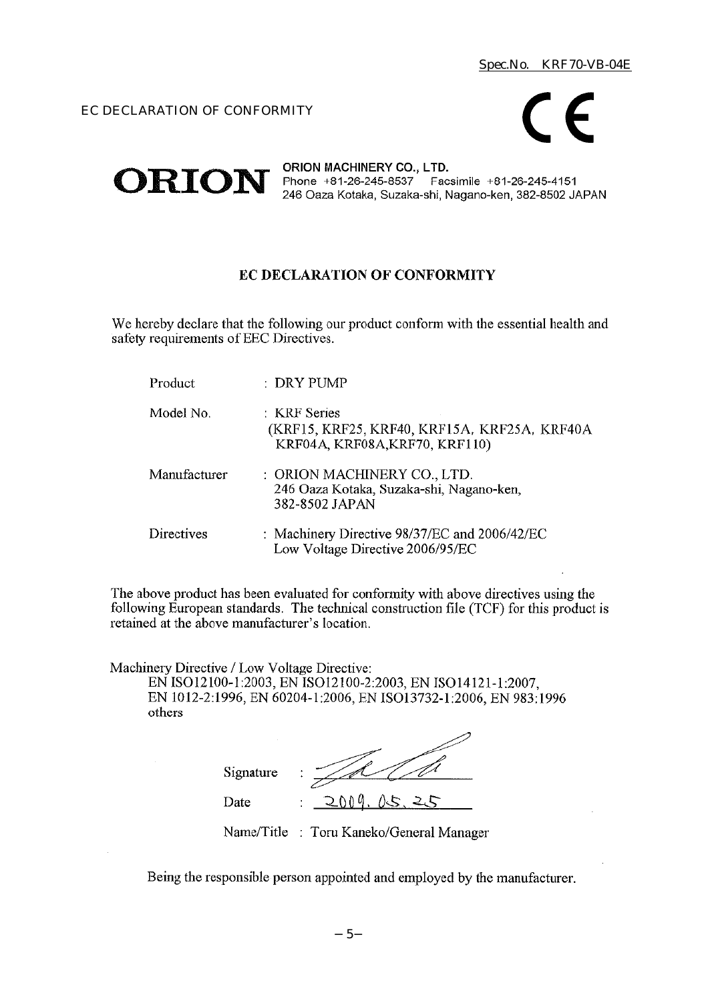others



#### ORION MACHINERY CO., LTD. ORION Phone +81-26-245-8537 Facsimile +81-26-245-4151 246 Oaza Kotaka, Suzaka-shi, Nagano-ken, 382-8502 JAPAN

# EC DECLARATION OF CONFORMITY

We hereby declare that the following our product conform with the essential health and safety requirements of EEC Directives.

| Product      | : DRY PUMP                                                                                     |
|--------------|------------------------------------------------------------------------------------------------|
| Model No.    | : KRF Series<br>(KRF15, KRF25, KRF40, KRF15A, KRF25A, KRF40A<br>KRF04A, KRF08A, KRF70, KRF110) |
| Manufacturer | : ORION MACHINERY CO., LTD.<br>246 Oaza Kotaka, Suzaka-shi, Nagano-ken,<br>382-8502 JAPAN      |
| Directives   | : Machinery Directive $98/37/EC$ and $2006/42/EC$<br>Low Voltage Directive 2006/95/EC          |

The above product has been evaluated for conformity with above directives using the following European standards. The technical construction file (TCF) for this product is retained at the above manufacturer's location.

Machinery Directive / Low Voltage Directive: EN ISO12100-1:2003, EN ISO12100-2:2003, EN ISO14121-1:2007, EN 1012-2:1996, EN 60204-1:2006, EN ISO13732-1:2006, EN 983:1996

| Signature | ٠<br>٠            |
|-----------|-------------------|
| Date      | 2009.<br>05.<br>٠ |

Name/Title : Toru Kaneko/General Manager

Being the responsible person appointed and employed by the manufacturer.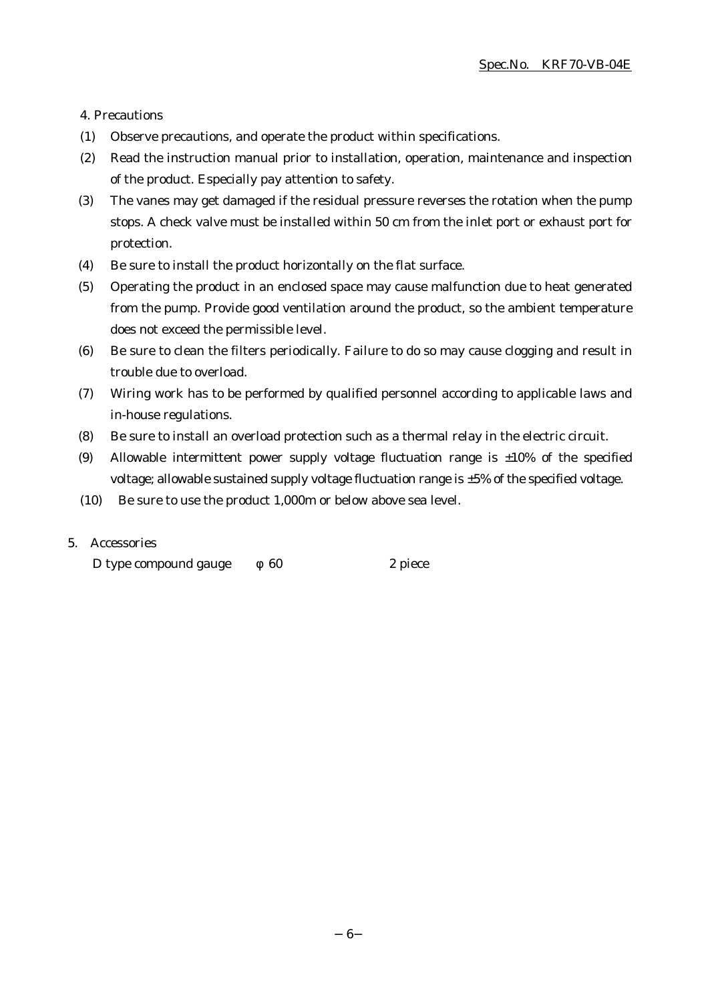4. Precautions

- (1) Observe precautions, and operate the product within specifications.
- (2) Read the instruction manual prior to installation, operation, maintenance and inspection of the product. Especially pay attention to safety.
- (3) The vanes may get damaged if the residual pressure reverses the rotation when the pump stops. A check valve must be installed within 50 cm from the inlet port or exhaust port for protection.
- (4) Be sure to install the product horizontally on the flat surface.
- (5) Operating the product in an enclosed space may cause malfunction due to heat generated from the pump. Provide good ventilation around the product, so the ambient temperature does not exceed the permissible level.
- (6) Be sure to clean the filters periodically. Failure to do so may cause clogging and result in trouble due to overload.
- (7) Wiring work has to be performed by qualified personnel according to applicable laws and in-house regulations.
- (8) Be sure to install an overload protection such as a thermal relay in the electric circuit.
- (9) Allowable intermittent power supply voltage fluctuation range is  $\pm 10\%$  of the specified voltage; allowable sustained supply voltage fluctuation range is ±5% of the specified voltage.
- (10) Be sure to use the product 1,000m or below above sea level.

# 5. Accessories

D type compound gauge 60 2 piece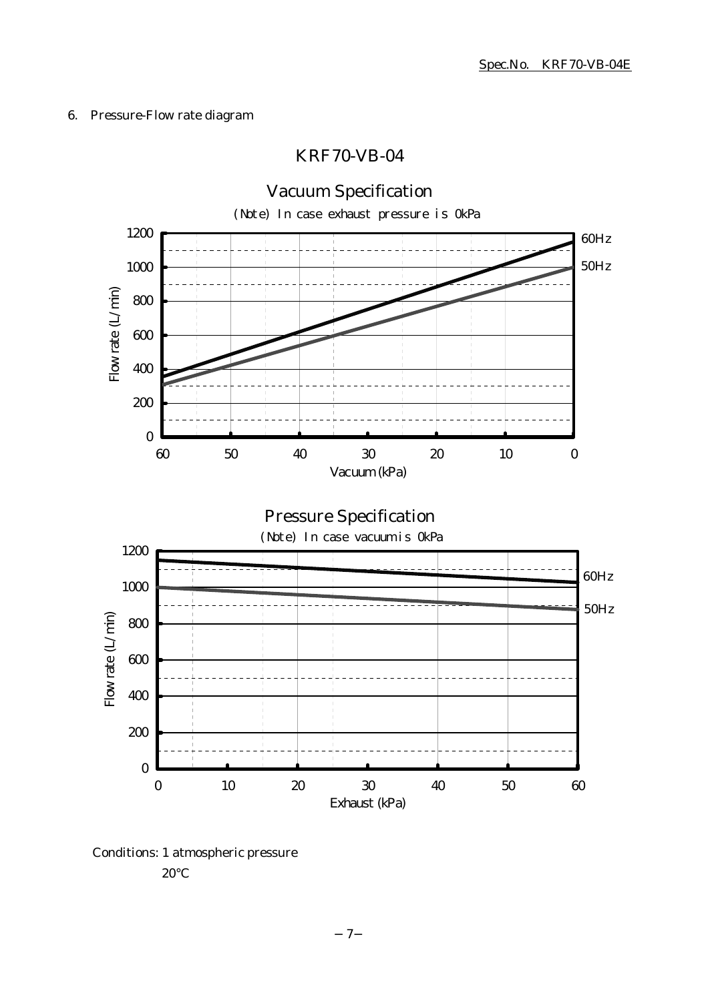# 6. Pressure-Flow rate diagram

# KRF70-VB-04



Conditions: 1 atmospheric pressure

20